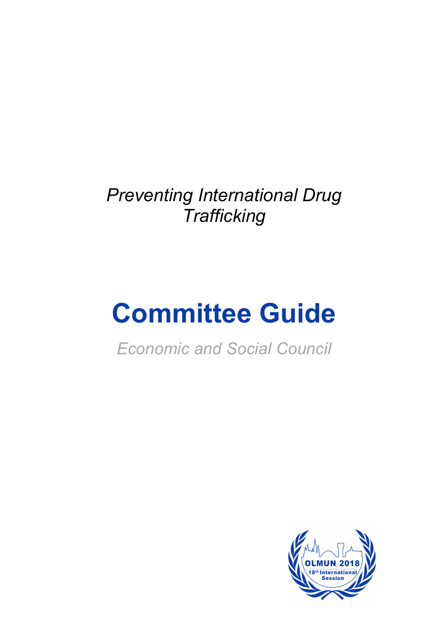*Preventing International Drug Trafficking*

# **Committee Guide**

*Economic and Social Council*

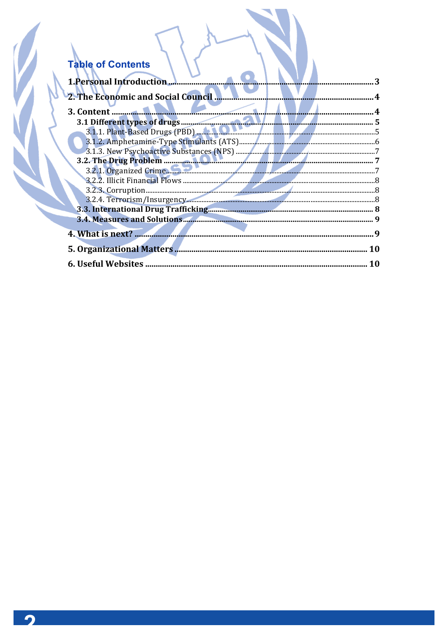## Table of Contents

| <b>1. Personal Introduction</b>    |   |
|------------------------------------|---|
|                                    |   |
| 3. Content                         |   |
| 3.1 Different types of drugs (PBD) |   |
|                                    |   |
|                                    |   |
|                                    |   |
|                                    |   |
|                                    |   |
|                                    |   |
|                                    |   |
|                                    |   |
|                                    |   |
|                                    |   |
|                                    |   |
| 4. What is next?                   | q |
| <b>5. Organizational Matters</b>   |   |
| <b>6. Useful Websites</b>          |   |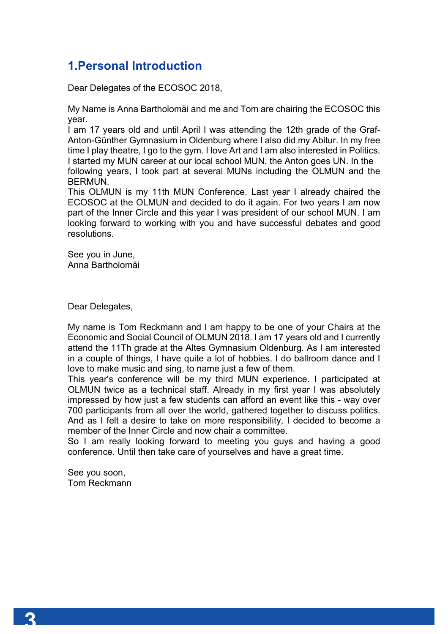## **1.Personal Introduction**

Dear Delegates of the ECOSOC 2018,

My Name is Anna Bartholomäi and me and Tom are chairing the ECOSOC this year.

I am 17 years old and until April I was attending the 12th grade of the Graf-Anton-Günther Gymnasium in Oldenburg where I also did my Abitur. In my free time I play theatre, I go to the gym. I love Art and I am also interested in Politics. I started my MUN career at our local school MUN, the Anton goes UN. In the following years, I took part at several MUNs including the OLMUN and the BERMUN.

This OLMUN is my 11th MUN Conference. Last year I already chaired the ECOSOC at the OLMUN and decided to do it again. For two years I am now part of the Inner Circle and this year I was president of our school MUN. I am looking forward to working with you and have successful debates and good resolutions.

See you in June, Anna Bartholomäi

Dear Delegates,

My name is Tom Reckmann and I am happy to be one of your Chairs at the Economic and Social Council of OLMUN 2018. I am 17 years old and I currently attend the 11Th grade at the Altes Gymnasium Oldenburg. As I am interested in a couple of things, I have quite a lot of hobbies. I do ballroom dance and I love to make music and sing, to name just a few of them.

This year's conference will be my third MUN experience. I participated at OLMUN twice as a technical staff. Already in my first year I was absolutely impressed by how just a few students can afford an event like this - way over 700 participants from all over the world, gathered together to discuss politics. And as I felt a desire to take on more responsibility, I decided to become a member of the Inner Circle and now chair a committee.

So I am really looking forward to meeting you guys and having a good conference. Until then take care of yourselves and have a great time.

See you soon, Tom Reckmann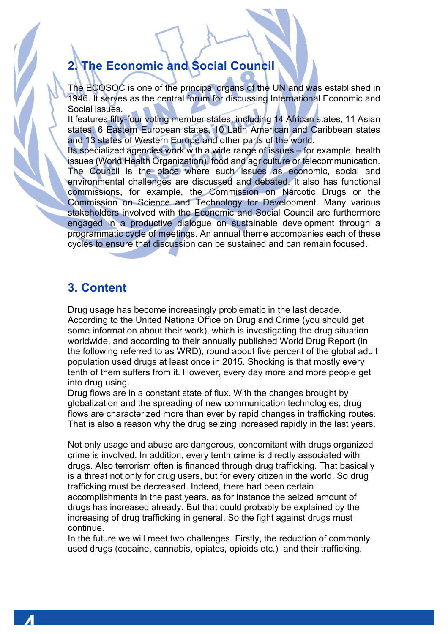## **2. The Economic and Social Council**

The ECOSOC is one of the principal organs of the UN and was established in 1946. It serves as the central forum for discussing International Economic and Social issues.

It features fifty-four voting member states, including 14 African states, 11 Asian states, 6 Eastern European states, 10 Latin American and Caribbean states and 13 states of Western Europe and other parts of the world.

Its specialized agencies work with a wide range of issues – for example, health issues (World Health Organization), food and agriculture or telecommunication. The Council is the place where such issues as economic, social and environmental challenges are discussed and debated. It also has functional commissions, for example, the Commission on Narcotic Drugs or the Commission on Science and Technology for Development. Many various stakeholders involved with the Economic and Social Council are furthermore engaged in a productive dialogue on sustainable development through a programmatic cycle of meetings. An annual theme accompanies each of these cycles to ensure that discussion can be sustained and can remain focused.

## **3. Content**

Drug usage has become increasingly problematic in the last decade. According to the United Nations Office on Drug and Crime (you should get some information about their work), which is investigating the drug situation worldwide, and according to their annually published World Drug Report (in the following referred to as WRD), round about five percent of the global adult population used drugs at least once in 2015. Shocking is that mostly every tenth of them suffers from it. However, every day more and more people get into drug using.

Drug flows are in a constant state of flux. With the changes brought by globalization and the spreading of new communication technologies, drug flows are characterized more than ever by rapid changes in trafficking routes. That is also a reason why the drug seizing increased rapidly in the last years.

Not only usage and abuse are dangerous, concomitant with drugs organized crime is involved. In addition, every tenth crime is directly associated with drugs. Also terrorism often is financed through drug trafficking. That basically is a threat not only for drug users, but for every citizen in the world. So drug trafficking must be decreased. Indeed, there had been certain accomplishments in the past years, as for instance the seized amount of drugs has increased already. But that could probably be explained by the increasing of drug trafficking in general. So the fight against drugs must continue.

In the future we will meet two challenges. Firstly, the reduction of commonly used drugs (cocaine, cannabis, opiates, opioids etc.) and their trafficking.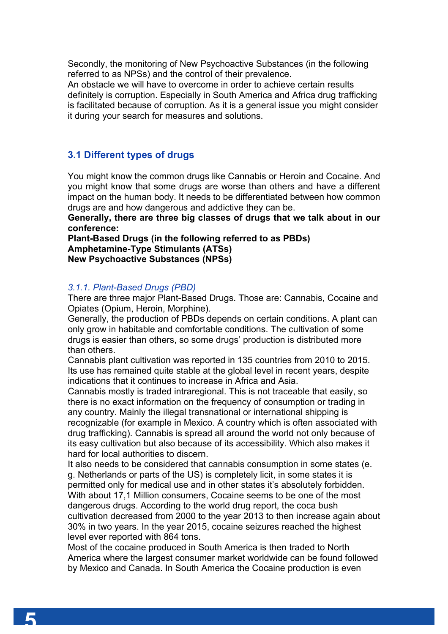Secondly, the monitoring of New Psychoactive Substances (in the following referred to as NPSs) and the control of their prevalence.

An obstacle we will have to overcome in order to achieve certain results definitely is corruption. Especially in South America and Africa drug trafficking is facilitated because of corruption. As it is a general issue you might consider it during your search for measures and solutions.

#### **3.1 Different types of drugs**

You might know the common drugs like Cannabis or Heroin and Cocaine. And you might know that some drugs are worse than others and have a different impact on the human body. It needs to be differentiated between how common drugs are and how dangerous and addictive they can be.

**Generally, there are three big classes of drugs that we talk about in our conference:** 

**Plant-Based Drugs (in the following referred to as PBDs) Amphetamine-Type Stimulants (ATSs) New Psychoactive Substances (NPSs)** 

#### *3.1.1. Plant-Based Drugs (PBD)*

There are three major Plant-Based Drugs. Those are: Cannabis, Cocaine and Opiates (Opium, Heroin, Morphine).

Generally, the production of PBDs depends on certain conditions. A plant can only grow in habitable and comfortable conditions. The cultivation of some drugs is easier than others, so some drugs' production is distributed more than others.

Cannabis plant cultivation was reported in 135 countries from 2010 to 2015. Its use has remained quite stable at the global level in recent years, despite indications that it continues to increase in Africa and Asia.

Cannabis mostly is traded intraregional. This is not traceable that easily, so there is no exact information on the frequency of consumption or trading in any country. Mainly the illegal transnational or international shipping is recognizable (for example in Mexico. A country which is often associated with drug trafficking). Cannabis is spread all around the world not only because of its easy cultivation but also because of its accessibility. Which also makes it hard for local authorities to discern.

It also needs to be considered that cannabis consumption in some states (e. g. Netherlands or parts of the US) is completely licit, in some states it is permitted only for medical use and in other states it's absolutely forbidden. With about 17,1 Million consumers, Cocaine seems to be one of the most dangerous drugs. According to the world drug report, the coca bush cultivation decreased from 2000 to the year 2013 to then increase again about 30% in two years. In the year 2015, cocaine seizures reached the highest level ever reported with 864 tons.

Most of the cocaine produced in South America is then traded to North America where the largest consumer market worldwide can be found followed by Mexico and Canada. In South America the Cocaine production is even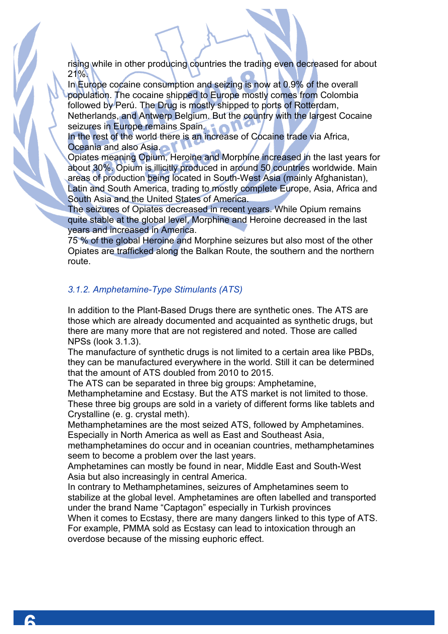rising while in other producing countries the trading even decreased for about 21%.

In Europe cocaine consumption and seizing is now at 0.9% of the overall population. The cocaine shipped to Europe mostly comes from Colombia followed by Perú. The Drug is mostly shipped to ports of Rotterdam, Netherlands, and Antwerp Belgium. But the country with the largest Cocaine seizures in Europe remains Spain.

In the rest of the world there is an increase of Cocaine trade via Africa, Oceania and also Asia.

Opiates meaning Opium, Heroine and Morphine increased in the last years for about 30%. Opium is illicitly produced in around 50 countries worldwide. Main areas of production being located in South-West Asia (mainly Afghanistan), Latin and South America, trading to mostly complete Europe, Asia, Africa and South Asia and the United States of America.

The seizures of Opiates decreased in recent years. While Opium remains quite stable at the global level, Morphine and Heroine decreased in the last years and increased in America.

75 % of the global Heroine and Morphine seizures but also most of the other Opiates are trafficked along the Balkan Route, the southern and the northern route.

#### *3.1.2. Amphetamine-Type Stimulants (ATS)*

In addition to the Plant-Based Drugs there are synthetic ones. The ATS are those which are already documented and acquainted as synthetic drugs, but there are many more that are not registered and noted. Those are called NPSs (look 3.1.3).

The manufacture of synthetic drugs is not limited to a certain area like PBDs, they can be manufactured everywhere in the world. Still it can be determined that the amount of ATS doubled from 2010 to 2015.

The ATS can be separated in three big groups: Amphetamine,

Methamphetamine and Ecstasy. But the ATS market is not limited to those. These three big groups are sold in a variety of different forms like tablets and Crystalline (e. g. crystal meth).

Methamphetamines are the most seized ATS, followed by Amphetamines. Especially in North America as well as East and Southeast Asia,

methamphetamines do occur and in oceanian countries, methamphetamines seem to become a problem over the last years.

Amphetamines can mostly be found in near, Middle East and South-West Asia but also increasingly in central America.

In contrary to Methamphetamines, seizures of Amphetamines seem to stabilize at the global level. Amphetamines are often labelled and transported under the brand Name "Captagon" especially in Turkish provinces

When it comes to Ecstasy, there are many dangers linked to this type of ATS. For example, PMMA sold as Ecstasy can lead to intoxication through an overdose because of the missing euphoric effect.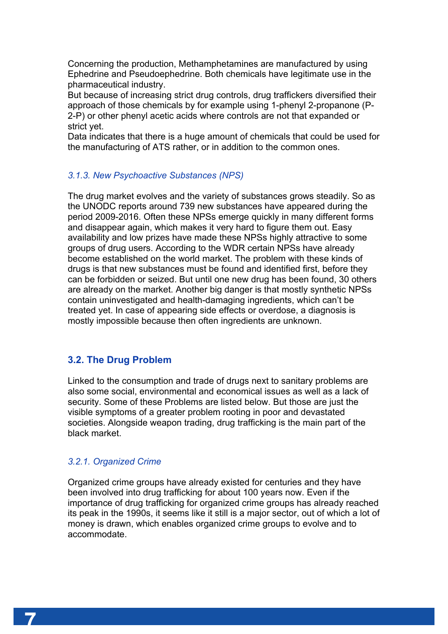Concerning the production, Methamphetamines are manufactured by using Ephedrine and Pseudoephedrine. Both chemicals have legitimate use in the pharmaceutical industry.

But because of increasing strict drug controls, drug traffickers diversified their approach of those chemicals by for example using 1-phenyl 2-propanone (P-2-P) or other phenyl acetic acids where controls are not that expanded or strict yet.

Data indicates that there is a huge amount of chemicals that could be used for the manufacturing of ATS rather, or in addition to the common ones.

#### *3.1.3. New Psychoactive Substances (NPS)*

The drug market evolves and the variety of substances grows steadily. So as the UNODC reports around 739 new substances have appeared during the period 2009-2016. Often these NPSs emerge quickly in many different forms and disappear again, which makes it very hard to figure them out. Easy availability and low prizes have made these NPSs highly attractive to some groups of drug users. According to the WDR certain NPSs have already become established on the world market. The problem with these kinds of drugs is that new substances must be found and identified first, before they can be forbidden or seized. But until one new drug has been found, 30 others are already on the market. Another big danger is that mostly synthetic NPSs contain uninvestigated and health-damaging ingredients, which can't be treated yet. In case of appearing side effects or overdose, a diagnosis is mostly impossible because then often ingredients are unknown.

#### **3.2. The Drug Problem**

Linked to the consumption and trade of drugs next to sanitary problems are also some social, environmental and economical issues as well as a lack of security. Some of these Problems are listed below. But those are just the visible symptoms of a greater problem rooting in poor and devastated societies. Alongside weapon trading, drug trafficking is the main part of the black market.

#### *3.2.1. Organized Crime*

Organized crime groups have already existed for centuries and they have been involved into drug trafficking for about 100 years now. Even if the importance of drug trafficking for organized crime groups has already reached its peak in the 1990s, it seems like it still is a major sector, out of which a lot of money is drawn, which enables organized crime groups to evolve and to accommodate.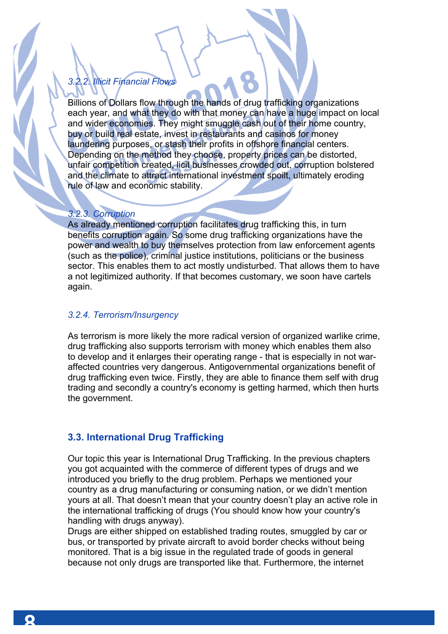## *3.2.2. Illicit Financial Flows*

Billions of Dollars flow through the hands of drug trafficking organizations each year, and what they do with that money can have a huge impact on local and wider economies. They might smuggle cash out of their home country, buy or build real estate, invest in restaurants and casinos for money laundering purposes, or stash their profits in offshore financial centers. Depending on the method they choose, property prices can be distorted, unfair competition created, licit businesses crowded out, corruption bolstered and the climate to attract international investment spoilt, ultimately eroding rule of law and economic stability.

#### *3.2.3. Corruption*

As already mentioned corruption facilitates drug trafficking this, in turn benefits corruption again. So some drug trafficking organizations have the power and wealth to buy themselves protection from law enforcement agents (such as the police), criminal justice institutions, politicians or the business sector. This enables them to act mostly undisturbed. That allows them to have a not legitimized authority. If that becomes customary, we soon have cartels again.

#### *3.2.4. Terrorism/Insurgency*

As terrorism is more likely the more radical version of organized warlike crime, drug trafficking also supports terrorism with money which enables them also to develop and it enlarges their operating range - that is especially in not waraffected countries very dangerous. Antigovernmental organizations benefit of drug trafficking even twice. Firstly, they are able to finance them self with drug trading and secondly a country's economy is getting harmed, which then hurts the government.

#### **3.3. International Drug Trafficking**

Our topic this year is International Drug Trafficking. In the previous chapters you got acquainted with the commerce of different types of drugs and we introduced you briefly to the drug problem. Perhaps we mentioned your country as a drug manufacturing or consuming nation, or we didn't mention yours at all. That doesn't mean that your country doesn't play an active role in the international trafficking of drugs (You should know how your country's handling with drugs anyway).

Drugs are either shipped on established trading routes, smuggled by car or bus, or transported by private aircraft to avoid border checks without being monitored. That is a big issue in the regulated trade of goods in general because not only drugs are transported like that. Furthermore, the internet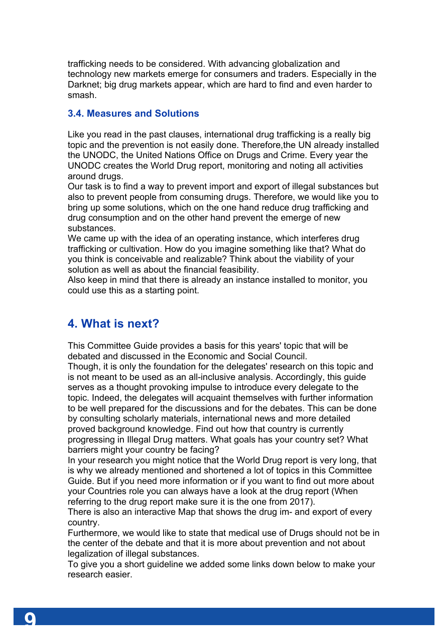trafficking needs to be considered. With advancing globalization and technology new markets emerge for consumers and traders. Especially in the Darknet; big drug markets appear, which are hard to find and even harder to smash.

#### **3.4. Measures and Solutions**

Like you read in the past clauses, international drug trafficking is a really big topic and the prevention is not easily done. Therefore,the UN already installed the UNODC, the United Nations Office on Drugs and Crime. Every year the UNODC creates the World Drug report, monitoring and noting all activities around drugs.

Our task is to find a way to prevent import and export of illegal substances but also to prevent people from consuming drugs. Therefore, we would like you to bring up some solutions, which on the one hand reduce drug trafficking and drug consumption and on the other hand prevent the emerge of new substances.

We came up with the idea of an operating instance, which interferes drug trafficking or cultivation. How do you imagine something like that? What do you think is conceivable and realizable? Think about the viability of your solution as well as about the financial feasibility.

Also keep in mind that there is already an instance installed to monitor, you could use this as a starting point.

## **4. What is next?**

This Committee Guide provides a basis for this years' topic that will be debated and discussed in the Economic and Social Council.

Though, it is only the foundation for the delegates' research on this topic and is not meant to be used as an all-inclusive analysis. Accordingly, this guide serves as a thought provoking impulse to introduce every delegate to the topic. Indeed, the delegates will acquaint themselves with further information to be well prepared for the discussions and for the debates. This can be done by consulting scholarly materials, international news and more detailed proved background knowledge. Find out how that country is currently progressing in Illegal Drug matters. What goals has your country set? What barriers might your country be facing?

In your research you might notice that the World Drug report is very long, that is why we already mentioned and shortened a lot of topics in this Committee Guide. But if you need more information or if you want to find out more about your Countries role you can always have a look at the drug report (When referring to the drug report make sure it is the one from 2017).

There is also an interactive Map that shows the drug im- and export of every country.

Furthermore, we would like to state that medical use of Drugs should not be in the center of the debate and that it is more about prevention and not about legalization of illegal substances.

To give you a short guideline we added some links down below to make your research easier.